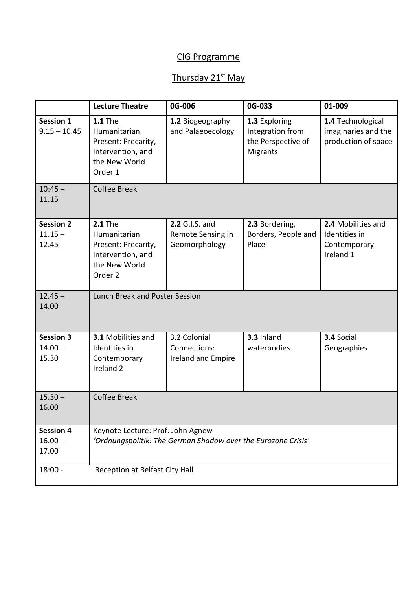#### CIG Programme

## Thursday 21<sup>st</sup> May

|                                        | <b>Lecture Theatre</b>                                                                                            | 0G-006                                               | 0G-033                                                                     | 01-009                                                           |
|----------------------------------------|-------------------------------------------------------------------------------------------------------------------|------------------------------------------------------|----------------------------------------------------------------------------|------------------------------------------------------------------|
| <b>Session 1</b><br>$9.15 - 10.45$     | <b>1.1 The</b><br>Humanitarian<br>Present: Precarity,<br>Intervention, and<br>the New World<br>Order 1            | 1.2 Biogeography<br>and Palaeoecology                | 1.3 Exploring<br>Integration from<br>the Perspective of<br><b>Migrants</b> | 1.4 Technological<br>imaginaries and the<br>production of space  |
| $10:45 -$<br>11.15                     | <b>Coffee Break</b>                                                                                               |                                                      |                                                                            |                                                                  |
| <b>Session 2</b><br>$11.15 -$<br>12.45 | <b>2.1 The</b><br>Humanitarian<br>Present: Precarity,<br>Intervention, and<br>the New World<br>Order <sub>2</sub> | 2.2 G.I.S. and<br>Remote Sensing in<br>Geomorphology | 2.3 Bordering,<br>Borders, People and<br>Place                             | 2.4 Mobilities and<br>Identities in<br>Contemporary<br>Ireland 1 |
| $12.45 -$<br>14.00                     | Lunch Break and Poster Session                                                                                    |                                                      |                                                                            |                                                                  |
| <b>Session 3</b><br>$14.00 -$<br>15.30 | 3.1 Mobilities and<br>Identities in<br>Contemporary<br>Ireland <sub>2</sub>                                       | 3.2 Colonial<br>Connections:<br>Ireland and Empire   | 3.3 Inland<br>waterbodies                                                  | 3.4 Social<br>Geographies                                        |
| $15.30 -$<br>16.00                     | <b>Coffee Break</b>                                                                                               |                                                      |                                                                            |                                                                  |
| <b>Session 4</b><br>$16.00 -$<br>17.00 | Keynote Lecture: Prof. John Agnew<br>'Ordnungspolitik: The German Shadow over the Eurozone Crisis'                |                                                      |                                                                            |                                                                  |
| $18:00 -$                              | Reception at Belfast City Hall                                                                                    |                                                      |                                                                            |                                                                  |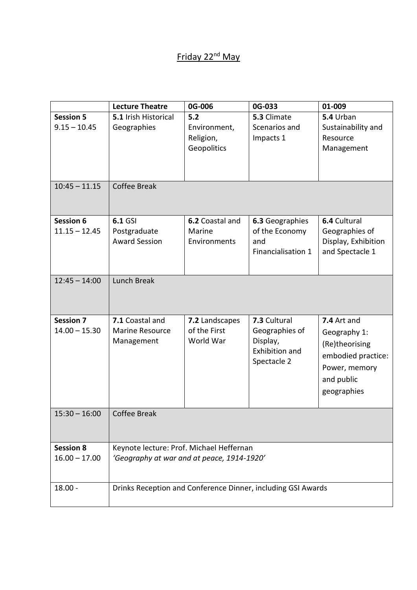## Friday 22<sup>nd</sup> May

|                                     | <b>Lecture Theatre</b>                                                                 | 0G-006                                          | 0G-033                                                                      | 01-009                                                                                                            |
|-------------------------------------|----------------------------------------------------------------------------------------|-------------------------------------------------|-----------------------------------------------------------------------------|-------------------------------------------------------------------------------------------------------------------|
| <b>Session 5</b><br>$9.15 - 10.45$  | 5.1 Irish Historical<br>Geographies                                                    | 5.2<br>Environment,<br>Religion,<br>Geopolitics | 5.3 Climate<br>Scenarios and<br>Impacts 1                                   | 5.4 Urban<br>Sustainability and<br>Resource<br>Management                                                         |
| $10:45 - 11.15$                     | Coffee Break                                                                           |                                                 |                                                                             |                                                                                                                   |
| Session 6<br>$11.15 - 12.45$        | <b>6.1 GSI</b><br>Postgraduate<br><b>Award Session</b>                                 | 6.2 Coastal and<br>Marine<br>Environments       | 6.3 Geographies<br>of the Economy<br>and<br>Financialisation 1              | 6.4 Cultural<br>Geographies of<br>Display, Exhibition<br>and Spectacle 1                                          |
| $12:45 - 14:00$                     | Lunch Break                                                                            |                                                 |                                                                             |                                                                                                                   |
| <b>Session 7</b><br>$14.00 - 15.30$ | 7.1 Coastal and<br><b>Marine Resource</b><br>Management                                | 7.2 Landscapes<br>of the First<br>World War     | 7.3 Cultural<br>Geographies of<br>Display,<br>Exhibition and<br>Spectacle 2 | 7.4 Art and<br>Geography 1:<br>(Re)theorising<br>embodied practice:<br>Power, memory<br>and public<br>geographies |
| $15:30 - 16:00$   Coffee Break      |                                                                                        |                                                 |                                                                             |                                                                                                                   |
| <b>Session 8</b><br>$16.00 - 17.00$ | Keynote lecture: Prof. Michael Heffernan<br>'Geography at war and at peace, 1914-1920' |                                                 |                                                                             |                                                                                                                   |
| $18.00 -$                           | Drinks Reception and Conference Dinner, including GSI Awards                           |                                                 |                                                                             |                                                                                                                   |